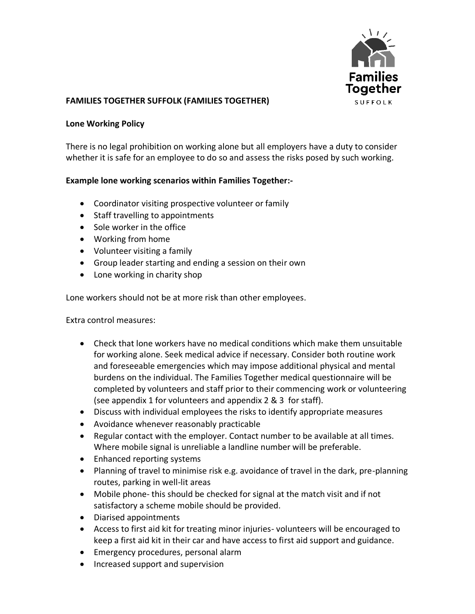

## **FAMILIES TOGETHER SUFFOLK (FAMILIES TOGETHER)**

## **Lone Working Policy**

There is no legal prohibition on working alone but all employers have a duty to consider whether it is safe for an employee to do so and assess the risks posed by such working.

## **Example lone working scenarios within Families Together:-**

- Coordinator visiting prospective volunteer or family
- Staff travelling to appointments
- Sole worker in the office
- Working from home
- Volunteer visiting a family
- Group leader starting and ending a session on their own
- Lone working in charity shop

Lone workers should not be at more risk than other employees.

Extra control measures:

- Check that lone workers have no medical conditions which make them unsuitable for working alone. Seek medical advice if necessary. Consider both routine work and foreseeable emergencies which may impose additional physical and mental burdens on the individual. The Families Together medical questionnaire will be completed by volunteers and staff prior to their commencing work or volunteering (see appendix 1 for volunteers and appendix 2 & 3 for staff).
- Discuss with individual employees the risks to identify appropriate measures
- Avoidance whenever reasonably practicable
- Regular contact with the employer. Contact number to be available at all times. Where mobile signal is unreliable a landline number will be preferable.
- Enhanced reporting systems
- Planning of travel to minimise risk e.g. avoidance of travel in the dark, pre-planning routes, parking in well-lit areas
- Mobile phone- this should be checked for signal at the match visit and if not satisfactory a scheme mobile should be provided.
- Diarised appointments
- Access to first aid kit for treating minor injuries- volunteers will be encouraged to keep a first aid kit in their car and have access to first aid support and guidance.
- Emergency procedures, personal alarm
- Increased support and supervision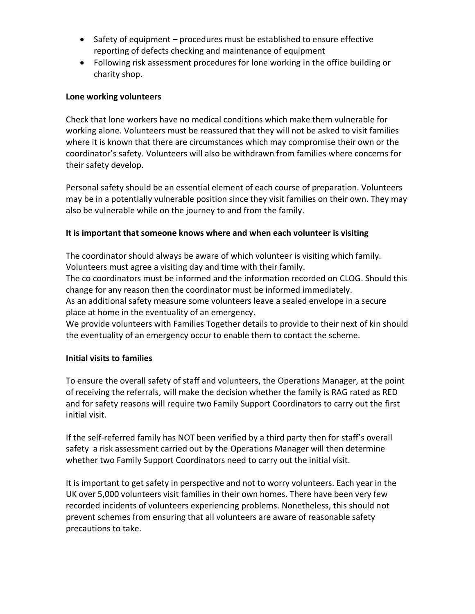- Safety of equipment procedures must be established to ensure effective reporting of defects checking and maintenance of equipment
- Following risk assessment procedures for lone working in the office building or charity shop.

# **Lone working volunteers**

Check that lone workers have no medical conditions which make them vulnerable for working alone. Volunteers must be reassured that they will not be asked to visit families where it is known that there are circumstances which may compromise their own or the coordinator's safety. Volunteers will also be withdrawn from families where concerns for their safety develop.

Personal safety should be an essential element of each course of preparation. Volunteers may be in a potentially vulnerable position since they visit families on their own. They may also be vulnerable while on the journey to and from the family.

# **It is important that someone knows where and when each volunteer is visiting**

The coordinator should always be aware of which volunteer is visiting which family. Volunteers must agree a visiting day and time with their family.

The co coordinators must be informed and the information recorded on CLOG. Should this change for any reason then the coordinator must be informed immediately.

As an additional safety measure some volunteers leave a sealed envelope in a secure place at home in the eventuality of an emergency.

We provide volunteers with Families Together details to provide to their next of kin should the eventuality of an emergency occur to enable them to contact the scheme.

## **Initial visits to families**

To ensure the overall safety of staff and volunteers, the Operations Manager, at the point of receiving the referrals, will make the decision whether the family is RAG rated as RED and for safety reasons will require two Family Support Coordinators to carry out the first initial visit.

If the self-referred family has NOT been verified by a third party then for staff's overall safety a risk assessment carried out by the Operations Manager will then determine whether two Family Support Coordinators need to carry out the initial visit.

It is important to get safety in perspective and not to worry volunteers. Each year in the UK over 5,000 volunteers visit families in their own homes. There have been very few recorded incidents of volunteers experiencing problems. Nonetheless, this should not prevent schemes from ensuring that all volunteers are aware of reasonable safety precautions to take.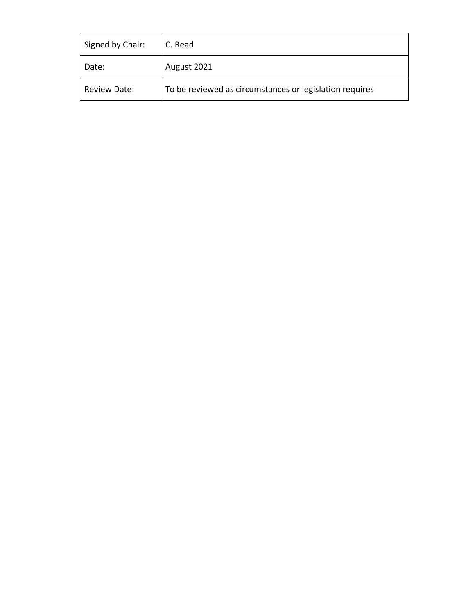| Signed by Chair: | C. Read                                                 |
|------------------|---------------------------------------------------------|
| Date:            | August 2021                                             |
| Review Date:     | To be reviewed as circumstances or legislation requires |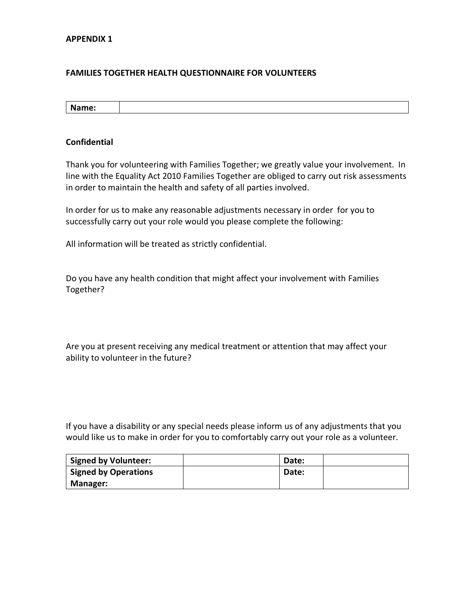## **FAMILIES TOGETHER HEALTH QUESTIONNAIRE FOR VOLUNTEERS**

**Name:**

#### **Confidential**

Thank you for volunteering with Families Together; we greatly value your involvement. In line with the Equality Act 2010 Families Together are obliged to carry out risk assessments in order to maintain the health and safety of all parties involved.

In order for us to make any reasonable adjustments necessary in order for you to successfully carry out your role would you please complete the following:

All information will be treated as strictly confidential.

Do you have any health condition that might affect your involvement with Families Together?

Are you at present receiving any medical treatment or attention that may affect your ability to volunteer in the future?

If you have a disability or any special needs please inform us of any adjustments that you would like us to make in order for you to comfortably carry out your role as a volunteer.

| <b>Signed by Volunteer:</b> | Date: |  |
|-----------------------------|-------|--|
| <b>Signed by Operations</b> | Date: |  |
| <b>Manager:</b>             |       |  |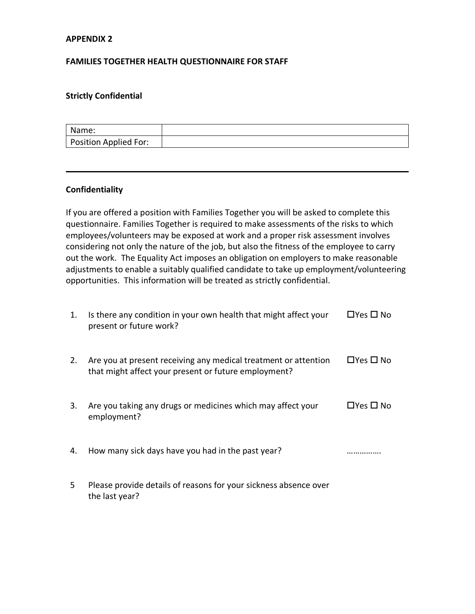## **APPENDIX 2**

## **FAMILIES TOGETHER HEALTH QUESTIONNAIRE FOR STAFF**

## **Strictly Confidential**

| Name:                 |  |
|-----------------------|--|
| Position Applied For: |  |

## **Confidentiality**

If you are offered a position with Families Together you will be asked to complete this questionnaire. Families Together is required to make assessments of the risks to which employees/volunteers may be exposed at work and a proper risk assessment involves considering not only the nature of the job, but also the fitness of the employee to carry out the work. The Equality Act imposes an obligation on employers to make reasonable adjustments to enable a suitably qualified candidate to take up employment/volunteering opportunities. This information will be treated as strictly confidential.

| 1. | Is there any condition in your own health that might affect your<br>present or future work?                             | $\Box$ Yes $\Box$ No |
|----|-------------------------------------------------------------------------------------------------------------------------|----------------------|
| 2. | Are you at present receiving any medical treatment or attention<br>that might affect your present or future employment? | $\Box$ Yes $\Box$ No |
| 3. | Are you taking any drugs or medicines which may affect your<br>employment?                                              | $\Box$ Yes $\Box$ No |
| 4. | How many sick days have you had in the past year?                                                                       |                      |
| 5. | Please provide details of reasons for your sickness absence over<br>the last year?                                      |                      |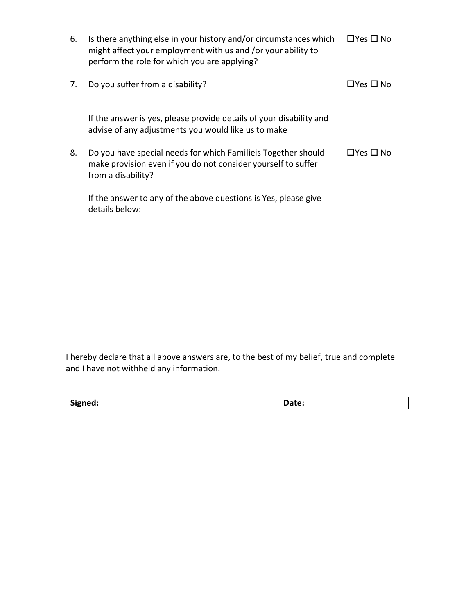| 6. | Is there anything else in your history and/or circumstances which<br>might affect your employment with us and /or your ability to<br>perform the role for which you are applying? | $\Box$ Yes $\Box$ No |
|----|-----------------------------------------------------------------------------------------------------------------------------------------------------------------------------------|----------------------|
| 7. | Do you suffer from a disability?                                                                                                                                                  | $\Box$ Yes $\Box$ No |
|    | If the answer is yes, please provide details of your disability and<br>advise of any adjustments you would like us to make                                                        |                      |
| 8. | Do you have special needs for which Familieis Together should<br>make provision even if you do not consider yourself to suffer<br>from a disability?                              | $\Box$ Yes $\Box$ No |
|    | If the answer to any of the above questions is Yes, please give<br>details below:                                                                                                 |                      |

I hereby declare that all above answers are, to the best of my belief, true and complete and I have not withheld any information.